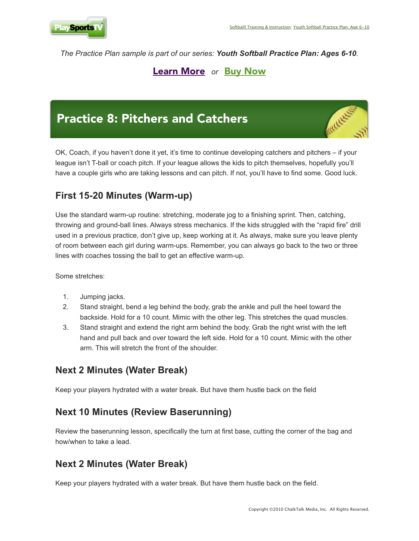

*The Practice Plan sample is part of our series: Youth Softball Practice Plan: Ages 6-10.* 

# [Learn More](http://www.playsportstv.com/trainingvideos-v2/youth-softball-practice-plan/sof201/tour) *or* [Buy Now](http://www.playsportstv.com/cart/a/SOF201_t1)

# Practice 8: Pitchers and Catchers



OK, Coach, if you haven't done it yet, it's time to continue developing catchers and pitchers – if your league isn't T-ball or coach pitch. If your league allows the kids to pitch themselves, hopefully you'll have a couple girls who are taking lessons and can pitch. If not, you'll have to find some. Good luck.

### **First 15-20 Minutes (Warm-up)**

Use the standard warm-up routine: stretching, moderate jog to a finishing sprint. Then, catching, throwing and ground-ball lines. Always stress mechanics. If the kids struggled with the "rapid fire" drill used in a previous practice, don't give up, keep working at it. As always, make sure you leave plenty of room between each girl during warm-ups. Remember, you can always go back to the two or three lines with coaches tossing the ball to get an effective warm-up.

Some stretches:

- 1. Jumping jacks.
- 2. Stand straight, bend a leg behind the body, grab the ankle and pull the heel toward the backside. Hold for a 10 count. Mimic with the other leg. This stretches the quad muscles.
- 3. Stand straight and extend the right arm behind the body. Grab the right wrist with the left hand and pull back and over toward the left side. Hold for a 10 count. Mimic with the other arm. This will stretch the front of the shoulder.

#### **Next 2 Minutes (Water Break)**

Keep your players hydrated with a water break. But have them hustle back on the field

#### **Next 10 Minutes (Review Baserunning)**

Review the baserunning lesson, specifically the turn at first base, cutting the corner of the bag and how/when to take a lead.

## **Next 2 Minutes (Water Break)**

Keep your players hydrated with a water break. But have them hustle back on the field.